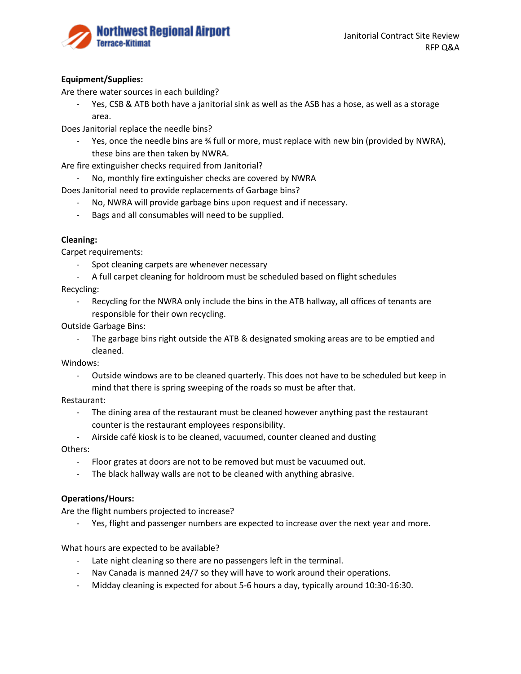

## **Equipment/Supplies:**

Are there water sources in each building?

- Yes, CSB & ATB both have a janitorial sink as well as the ASB has a hose, as well as a storage area.

Does Janitorial replace the needle bins?

- Yes, once the needle bins are  $\frac{3}{4}$  full or more, must replace with new bin (provided by NWRA), these bins are then taken by NWRA.

Are fire extinguisher checks required from Janitorial?

- No, monthly fire extinguisher checks are covered by NWRA

Does Janitorial need to provide replacements of Garbage bins?

- No, NWRA will provide garbage bins upon request and if necessary.
- Bags and all consumables will need to be supplied.

### **Cleaning:**

Carpet requirements:

- Spot cleaning carpets are whenever necessary
- A full carpet cleaning for holdroom must be scheduled based on flight schedules

Recycling:

- Recycling for the NWRA only include the bins in the ATB hallway, all offices of tenants are responsible for their own recycling.

Outside Garbage Bins:

- The garbage bins right outside the ATB & designated smoking areas are to be emptied and cleaned.

Windows:

Outside windows are to be cleaned quarterly. This does not have to be scheduled but keep in mind that there is spring sweeping of the roads so must be after that.

Restaurant:

- The dining area of the restaurant must be cleaned however anything past the restaurant counter is the restaurant employees responsibility.
- Airside café kiosk is to be cleaned, vacuumed, counter cleaned and dusting Others:
	- Floor grates at doors are not to be removed but must be vacuumed out.
	- The black hallway walls are not to be cleaned with anything abrasive.

### **Operations/Hours:**

Are the flight numbers projected to increase?

Yes, flight and passenger numbers are expected to increase over the next year and more.

What hours are expected to be available?

- Late night cleaning so there are no passengers left in the terminal.
- Nav Canada is manned 24/7 so they will have to work around their operations.
- Midday cleaning is expected for about 5-6 hours a day, typically around 10:30-16:30.